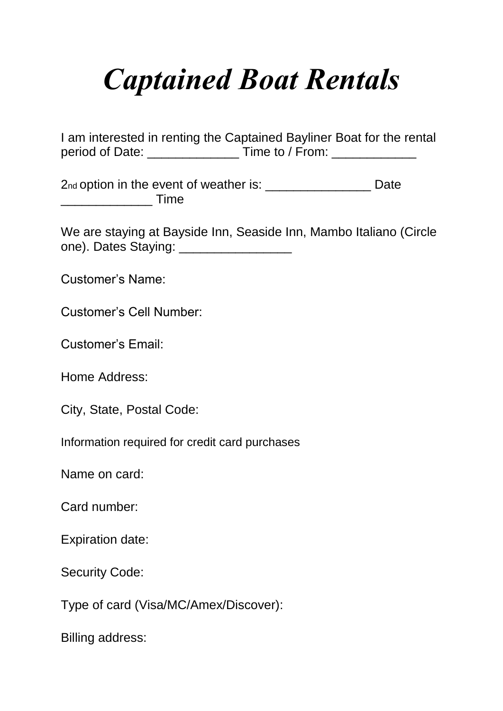## *Captained Boat Rentals*

I am interested in renting the Captained Bayliner Boat for the rental period of Date: \_\_\_\_\_\_\_\_\_\_\_\_\_ Time to / From: \_\_\_\_\_\_\_\_\_\_\_\_

2nd option in the event of weather is: \_\_\_\_\_\_\_\_\_\_\_\_\_\_\_\_\_\_\_ Date \_\_\_\_\_\_\_\_\_\_\_\_\_ Time

We are staying at Bayside Inn, Seaside Inn, Mambo Italiano (Circle one). Dates Staying:

Customer's Name:

Customer's Cell Number:

Customer's Email:

Home Address:

City, State, Postal Code:

Information required for credit card purchases

Name on card:

Card number:

Expiration date:

Security Code:

Type of card (Visa/MC/Amex/Discover):

Billing address: